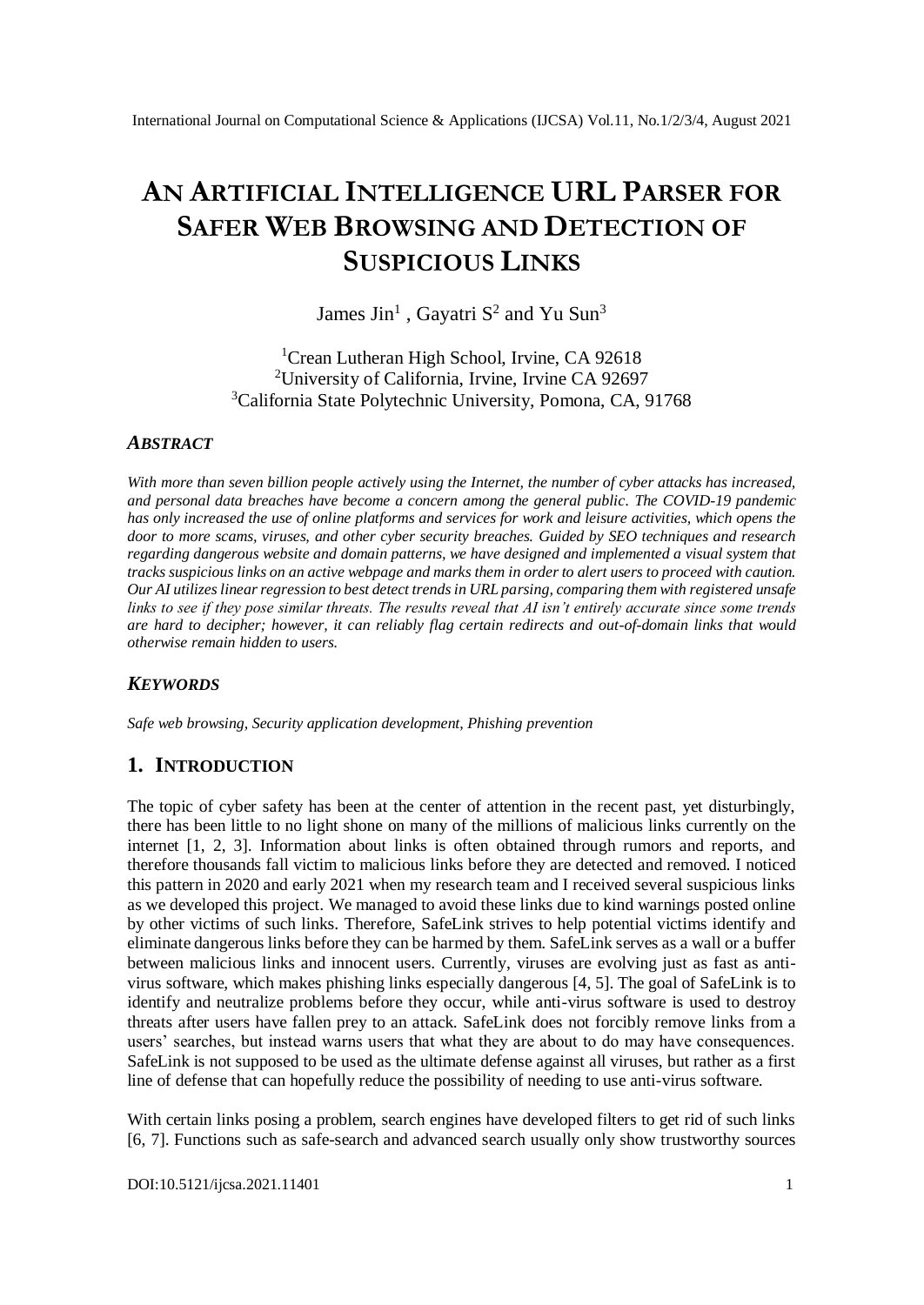# **AN ARTIFICIAL INTELLIGENCE URL PARSER FOR SAFER WEB BROWSING AND DETECTION OF SUSPICIOUS LINKS**

James Jin<sup>1</sup>, Gayatri  $S^2$  and Yu Sun<sup>3</sup>

<sup>1</sup>Crean Lutheran High School, Irvine, CA 92618 <sup>2</sup>University of California, Irvine, Irvine CA 92697 <sup>3</sup>California State Polytechnic University, Pomona, CA, 91768

#### *ABSTRACT*

*With more than seven billion people actively using the Internet, the number of cyber attacks has increased, and personal data breaches have become a concern among the general public. The COVID-19 pandemic has only increased the use of online platforms and services for work and leisure activities, which opens the door to more scams, viruses, and other cyber security breaches. Guided by SEO techniques and research regarding dangerous website and domain patterns, we have designed and implemented a visual system that tracks suspicious links on an active webpage and marks them in order to alert users to proceed with caution. Our AI utilizes linear regression to best detect trends in URL parsing, comparing them with registered unsafe links to see if they pose similar threats. The results reveal that AI isn't entirely accurate since some trends are hard to decipher; however, it can reliably flag certain redirects and out-of-domain links that would otherwise remain hidden to users.* 

#### *KEYWORDS*

*Safe web browsing, Security application development, Phishing prevention* 

#### **1. INTRODUCTION**

The topic of cyber safety has been at the center of attention in the recent past, yet disturbingly, there has been little to no light shone on many of the millions of malicious links currently on the internet [1, 2, 3]. Information about links is often obtained through rumors and reports, and therefore thousands fall victim to malicious links before they are detected and removed. I noticed this pattern in 2020 and early 2021 when my research team and I received several suspicious links as we developed this project. We managed to avoid these links due to kind warnings posted online by other victims of such links. Therefore, SafeLink strives to help potential victims identify and eliminate dangerous links before they can be harmed by them. SafeLink serves as a wall or a buffer between malicious links and innocent users. Currently, viruses are evolving just as fast as antivirus software, which makes phishing links especially dangerous [4, 5]. The goal of SafeLink is to identify and neutralize problems before they occur, while anti-virus software is used to destroy threats after users have fallen prey to an attack. SafeLink does not forcibly remove links from a users' searches, but instead warns users that what they are about to do may have consequences. SafeLink is not supposed to be used as the ultimate defense against all viruses, but rather as a first line of defense that can hopefully reduce the possibility of needing to use anti-virus software.

With certain links posing a problem, search engines have developed filters to get rid of such links [6, 7]. Functions such as safe-search and advanced search usually only show trustworthy sources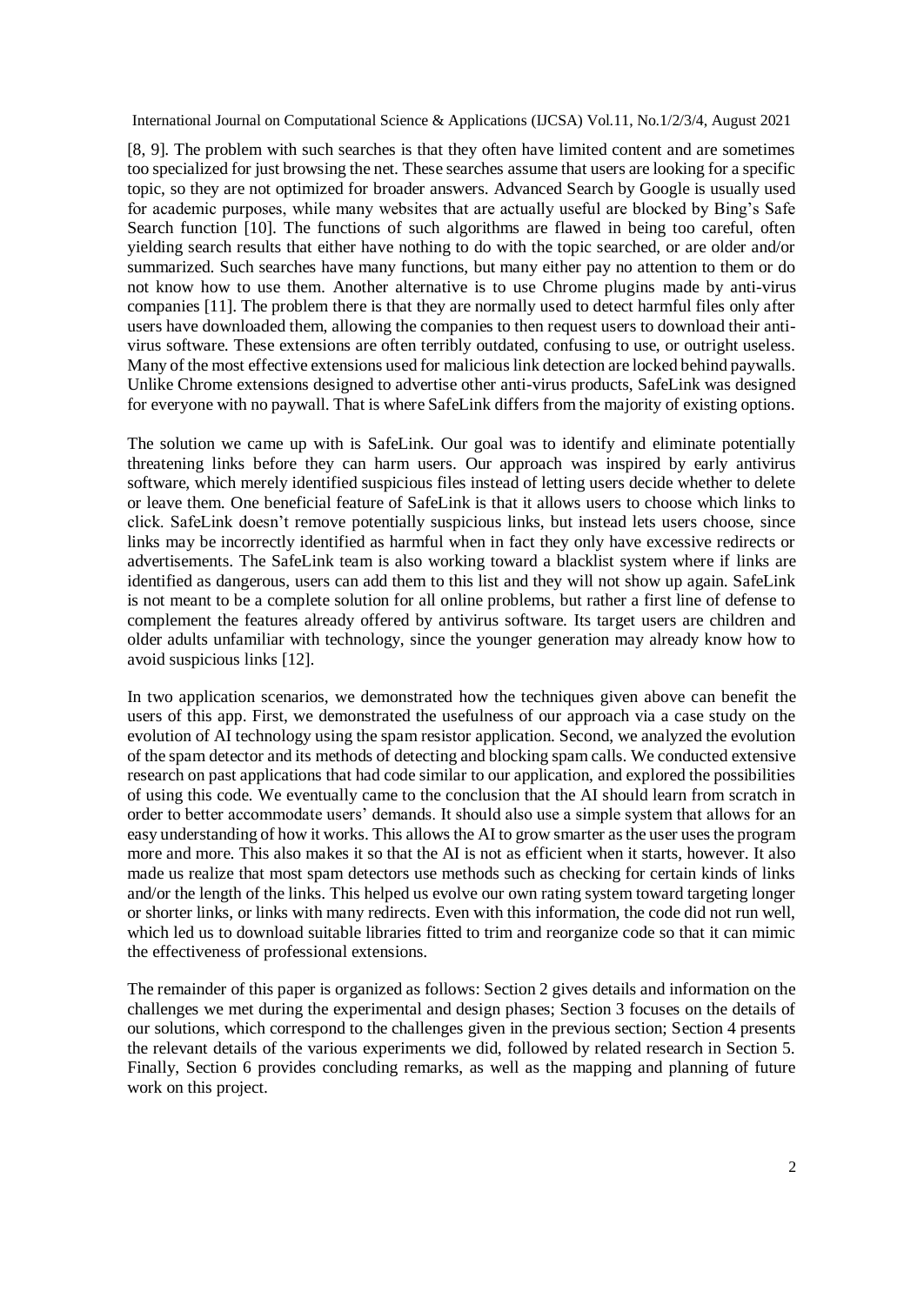[8, 9]. The problem with such searches is that they often have limited content and are sometimes too specialized for just browsing the net. These searches assume that users are looking for a specific topic, so they are not optimized for broader answers. Advanced Search by Google is usually used for academic purposes, while many websites that are actually useful are blocked by Bing's Safe Search function [10]. The functions of such algorithms are flawed in being too careful, often yielding search results that either have nothing to do with the topic searched, or are older and/or summarized. Such searches have many functions, but many either pay no attention to them or do not know how to use them. Another alternative is to use Chrome plugins made by anti-virus companies [11]. The problem there is that they are normally used to detect harmful files only after users have downloaded them, allowing the companies to then request users to download their antivirus software. These extensions are often terribly outdated, confusing to use, or outright useless. Many of the most effective extensions used for malicious link detection are locked behind paywalls. Unlike Chrome extensions designed to advertise other anti-virus products, SafeLink was designed for everyone with no paywall. That is where SafeLink differs from the majority of existing options.

The solution we came up with is SafeLink. Our goal was to identify and eliminate potentially threatening links before they can harm users. Our approach was inspired by early antivirus software, which merely identified suspicious files instead of letting users decide whether to delete or leave them. One beneficial feature of SafeLink is that it allows users to choose which links to click. SafeLink doesn't remove potentially suspicious links, but instead lets users choose, since links may be incorrectly identified as harmful when in fact they only have excessive redirects or advertisements. The SafeLink team is also working toward a blacklist system where if links are identified as dangerous, users can add them to this list and they will not show up again. SafeLink is not meant to be a complete solution for all online problems, but rather a first line of defense to complement the features already offered by antivirus software. Its target users are children and older adults unfamiliar with technology, since the younger generation may already know how to avoid suspicious links [12].

In two application scenarios, we demonstrated how the techniques given above can benefit the users of this app. First, we demonstrated the usefulness of our approach via a case study on the evolution of AI technology using the spam resistor application. Second, we analyzed the evolution of the spam detector and its methods of detecting and blocking spam calls. We conducted extensive research on past applications that had code similar to our application, and explored the possibilities of using this code. We eventually came to the conclusion that the AI should learn from scratch in order to better accommodate users' demands. It should also use a simple system that allows for an easy understanding of how it works. This allows the AI to grow smarter as the user uses the program more and more. This also makes it so that the AI is not as efficient when it starts, however. It also made us realize that most spam detectors use methods such as checking for certain kinds of links and/or the length of the links. This helped us evolve our own rating system toward targeting longer or shorter links, or links with many redirects. Even with this information, the code did not run well, which led us to download suitable libraries fitted to trim and reorganize code so that it can mimic the effectiveness of professional extensions.

The remainder of this paper is organized as follows: Section 2 gives details and information on the challenges we met during the experimental and design phases; Section 3 focuses on the details of our solutions, which correspond to the challenges given in the previous section; Section 4 presents the relevant details of the various experiments we did, followed by related research in Section 5. Finally, Section 6 provides concluding remarks, as well as the mapping and planning of future work on this project.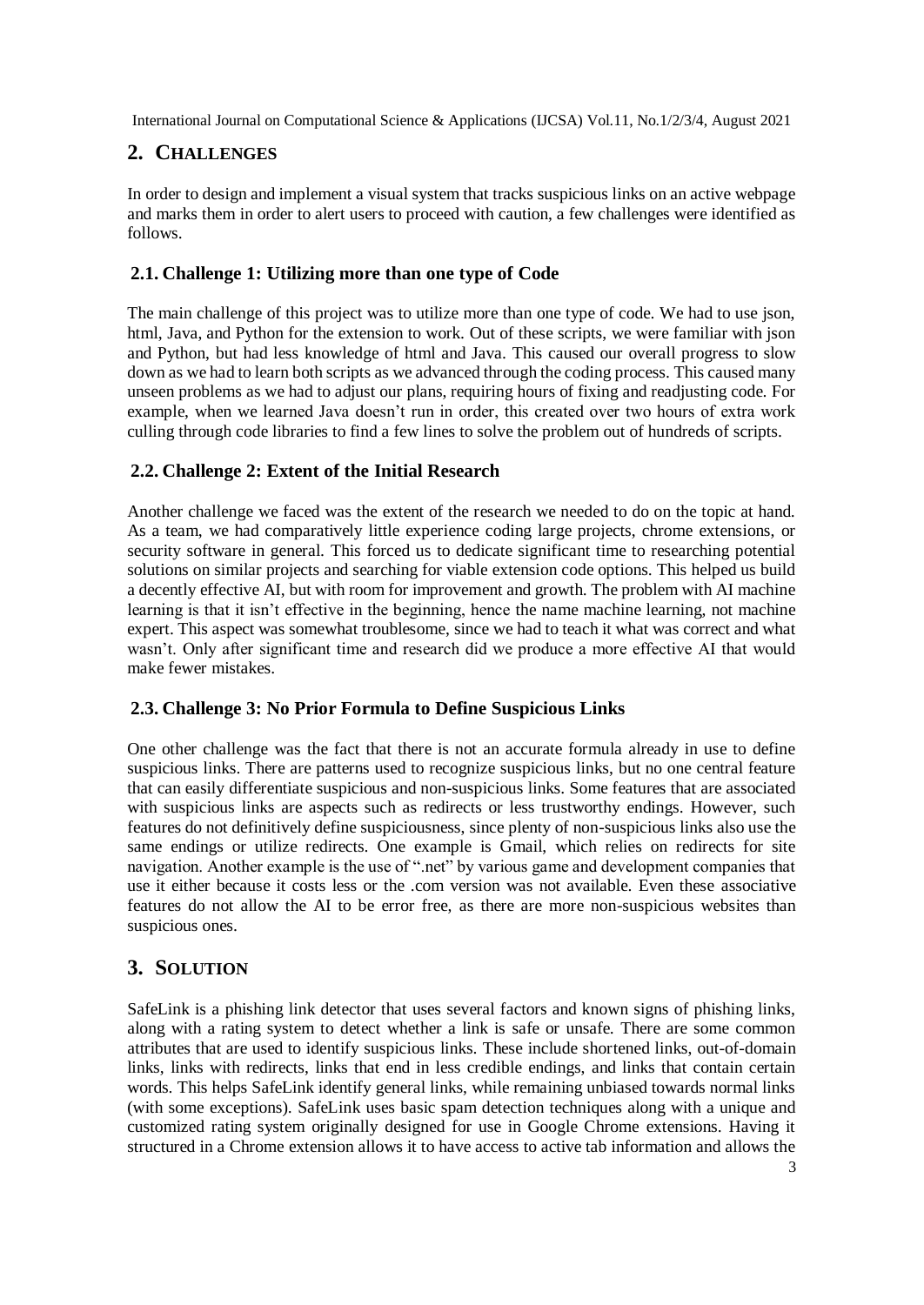# **2. CHALLENGES**

In order to design and implement a visual system that tracks suspicious links on an active webpage and marks them in order to alert users to proceed with caution, a few challenges were identified as follows.

## **2.1. Challenge 1: Utilizing more than one type of Code**

The main challenge of this project was to utilize more than one type of code. We had to use json, html, Java, and Python for the extension to work. Out of these scripts, we were familiar with ison and Python, but had less knowledge of html and Java. This caused our overall progress to slow down as we had to learn both scripts as we advanced through the coding process. This caused many unseen problems as we had to adjust our plans, requiring hours of fixing and readjusting code. For example, when we learned Java doesn't run in order, this created over two hours of extra work culling through code libraries to find a few lines to solve the problem out of hundreds of scripts.

## **2.2. Challenge 2: Extent of the Initial Research**

Another challenge we faced was the extent of the research we needed to do on the topic at hand. As a team, we had comparatively little experience coding large projects, chrome extensions, or security software in general. This forced us to dedicate significant time to researching potential solutions on similar projects and searching for viable extension code options. This helped us build a decently effective AI, but with room for improvement and growth. The problem with AI machine learning is that it isn't effective in the beginning, hence the name machine learning, not machine expert. This aspect was somewhat troublesome, since we had to teach it what was correct and what wasn't. Only after significant time and research did we produce a more effective AI that would make fewer mistakes.

## **2.3. Challenge 3: No Prior Formula to Define Suspicious Links**

One other challenge was the fact that there is not an accurate formula already in use to define suspicious links. There are patterns used to recognize suspicious links, but no one central feature that can easily differentiate suspicious and non-suspicious links. Some features that are associated with suspicious links are aspects such as redirects or less trustworthy endings. However, such features do not definitively define suspiciousness, since plenty of non-suspicious links also use the same endings or utilize redirects. One example is Gmail, which relies on redirects for site navigation. Another example is the use of ".net" by various game and development companies that use it either because it costs less or the .com version was not available. Even these associative features do not allow the AI to be error free, as there are more non-suspicious websites than suspicious ones.

# **3. SOLUTION**

SafeLink is a phishing link detector that uses several factors and known signs of phishing links, along with a rating system to detect whether a link is safe or unsafe. There are some common attributes that are used to identify suspicious links. These include shortened links, out-of-domain links, links with redirects, links that end in less credible endings, and links that contain certain words. This helps SafeLink identify general links, while remaining unbiased towards normal links (with some exceptions). SafeLink uses basic spam detection techniques along with a unique and customized rating system originally designed for use in Google Chrome extensions. Having it structured in a Chrome extension allows it to have access to active tab information and allows the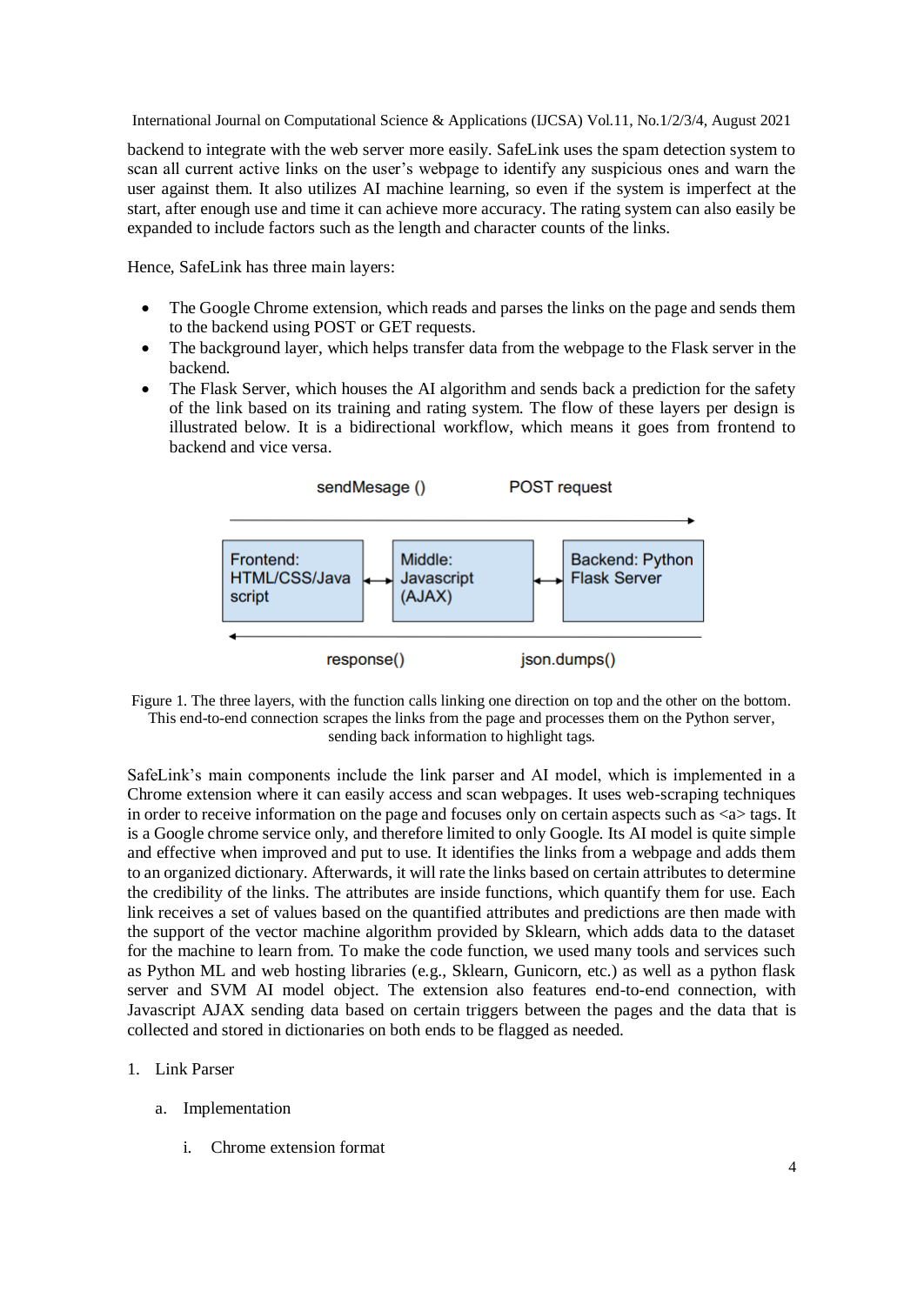backend to integrate with the web server more easily. SafeLink uses the spam detection system to scan all current active links on the user's webpage to identify any suspicious ones and warn the user against them. It also utilizes AI machine learning, so even if the system is imperfect at the start, after enough use and time it can achieve more accuracy. The rating system can also easily be expanded to include factors such as the length and character counts of the links.

Hence, SafeLink has three main layers:

- The Google Chrome extension, which reads and parses the links on the page and sends them to the backend using POST or GET requests.
- The background layer, which helps transfer data from the webpage to the Flask server in the backend.
- The Flask Server, which houses the AI algorithm and sends back a prediction for the safety of the link based on its training and rating system. The flow of these layers per design is illustrated below. It is a bidirectional workflow, which means it goes from frontend to backend and vice versa.



Figure 1. The three layers, with the function calls linking one direction on top and the other on the bottom. This end-to-end connection scrapes the links from the page and processes them on the Python server, sending back information to highlight tags.

SafeLink's main components include the link parser and AI model, which is implemented in a Chrome extension where it can easily access and scan webpages. It uses web-scraping techniques in order to receive information on the page and focuses only on certain aspects such as  $\langle a \rangle$  tags. It is a Google chrome service only, and therefore limited to only Google. Its AI model is quite simple and effective when improved and put to use. It identifies the links from a webpage and adds them to an organized dictionary. Afterwards, it will rate the links based on certain attributes to determine the credibility of the links. The attributes are inside functions, which quantify them for use. Each link receives a set of values based on the quantified attributes and predictions are then made with the support of the vector machine algorithm provided by Sklearn, which adds data to the dataset for the machine to learn from. To make the code function, we used many tools and services such as Python ML and web hosting libraries (e.g., Sklearn, Gunicorn, etc.) as well as a python flask server and SVM AI model object. The extension also features end-to-end connection, with Javascript AJAX sending data based on certain triggers between the pages and the data that is collected and stored in dictionaries on both ends to be flagged as needed.

#### 1. Link Parser

- a. Implementation
	- i. Chrome extension format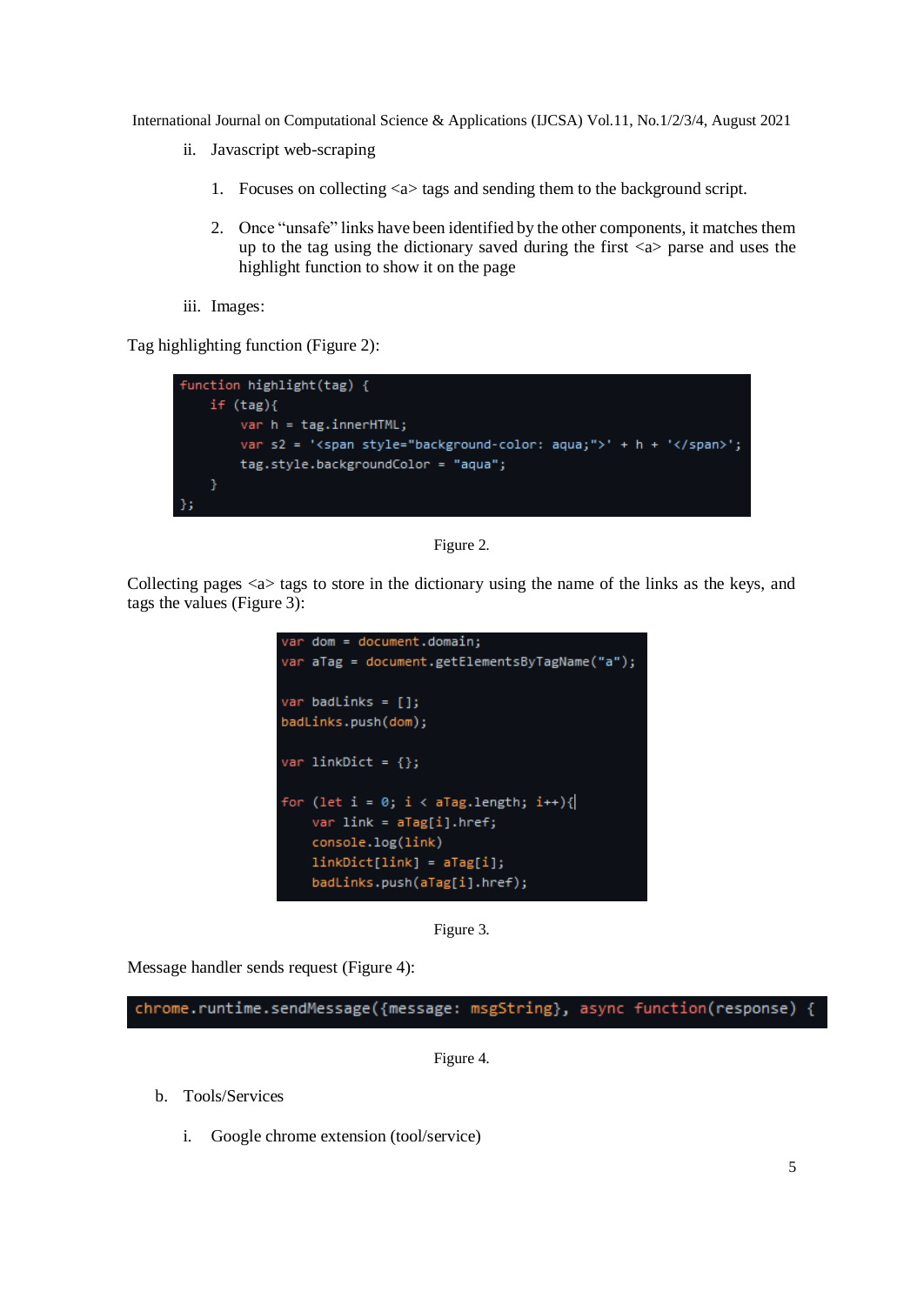- ii. Javascript web-scraping
	- 1. Focuses on collecting <a> tags and sending them to the background script.
	- 2. Once "unsafe" links have been identified by the other components, it matches them up to the tag using the dictionary saved during the first  $\langle a \rangle$  parse and uses the highlight function to show it on the page
- iii. Images:

Tag highlighting function (Figure 2):





Collecting pages <a> tags to store in the dictionary using the name of the links as the keys, and tags the values (Figure 3):





Message handler sends request (Figure 4):

chrome.runtime.sendMessage({message: msgString}, async function(response)

Figure 4.

- b. Tools/Services
	- i. Google chrome extension (tool/service)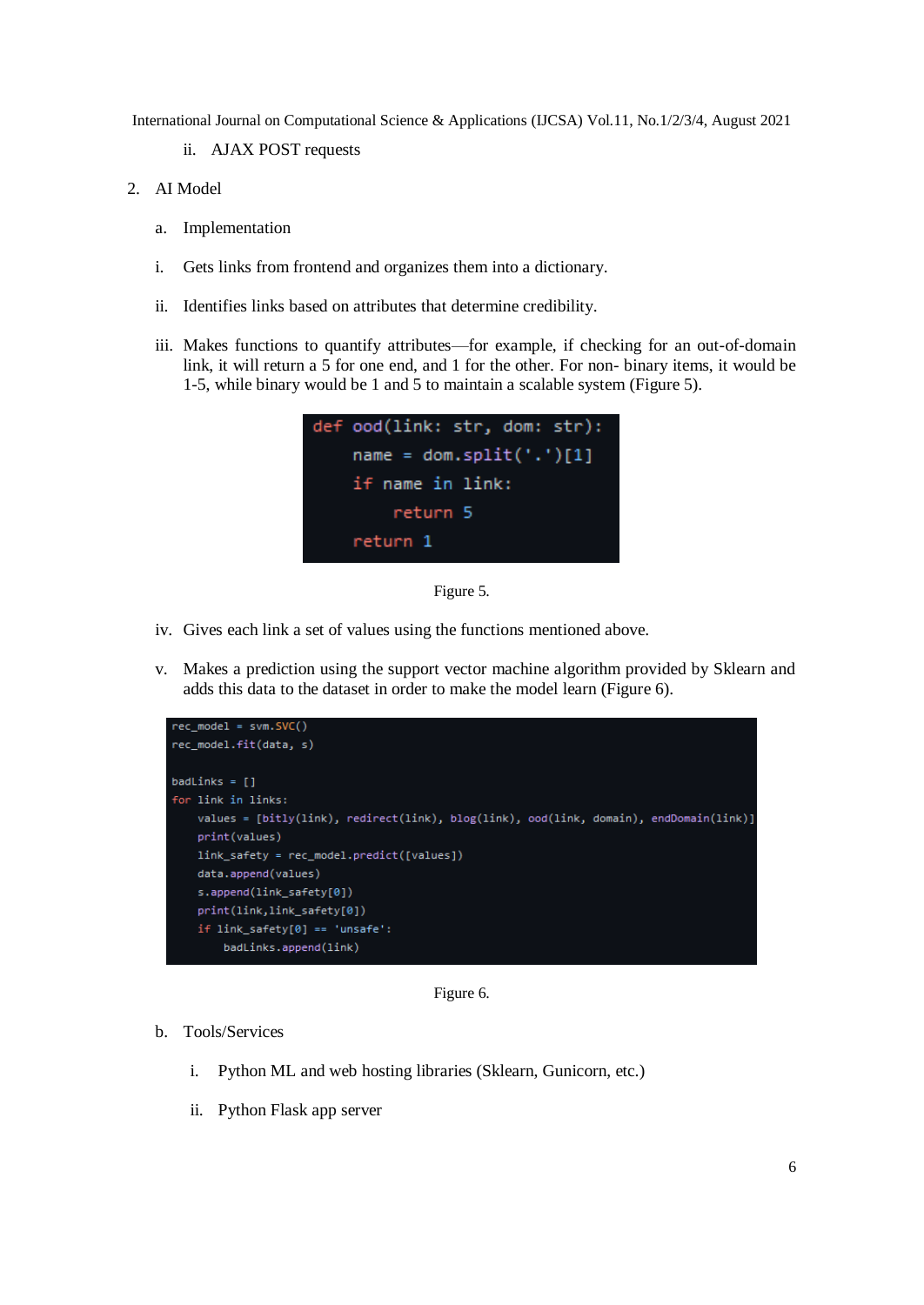- ii. AJAX POST requests
- 2. AI Model
	- a. Implementation
	- i. Gets links from frontend and organizes them into a dictionary.
	- ii. Identifies links based on attributes that determine credibility.
	- iii. Makes functions to quantify attributes—for example, if checking for an out-of-domain link, it will return a 5 for one end, and 1 for the other. For non- binary items, it would be 1-5, while binary would be 1 and 5 to maintain a scalable system (Figure 5).



Figure 5.

- iv. Gives each link a set of values using the functions mentioned above.
- v. Makes a prediction using the support vector machine algorithm provided by Sklearn and adds this data to the dataset in order to make the model learn (Figure 6).



Figure 6.

- b. Tools/Services
	- i. Python ML and web hosting libraries (Sklearn, Gunicorn, etc.)
	- ii. Python Flask app server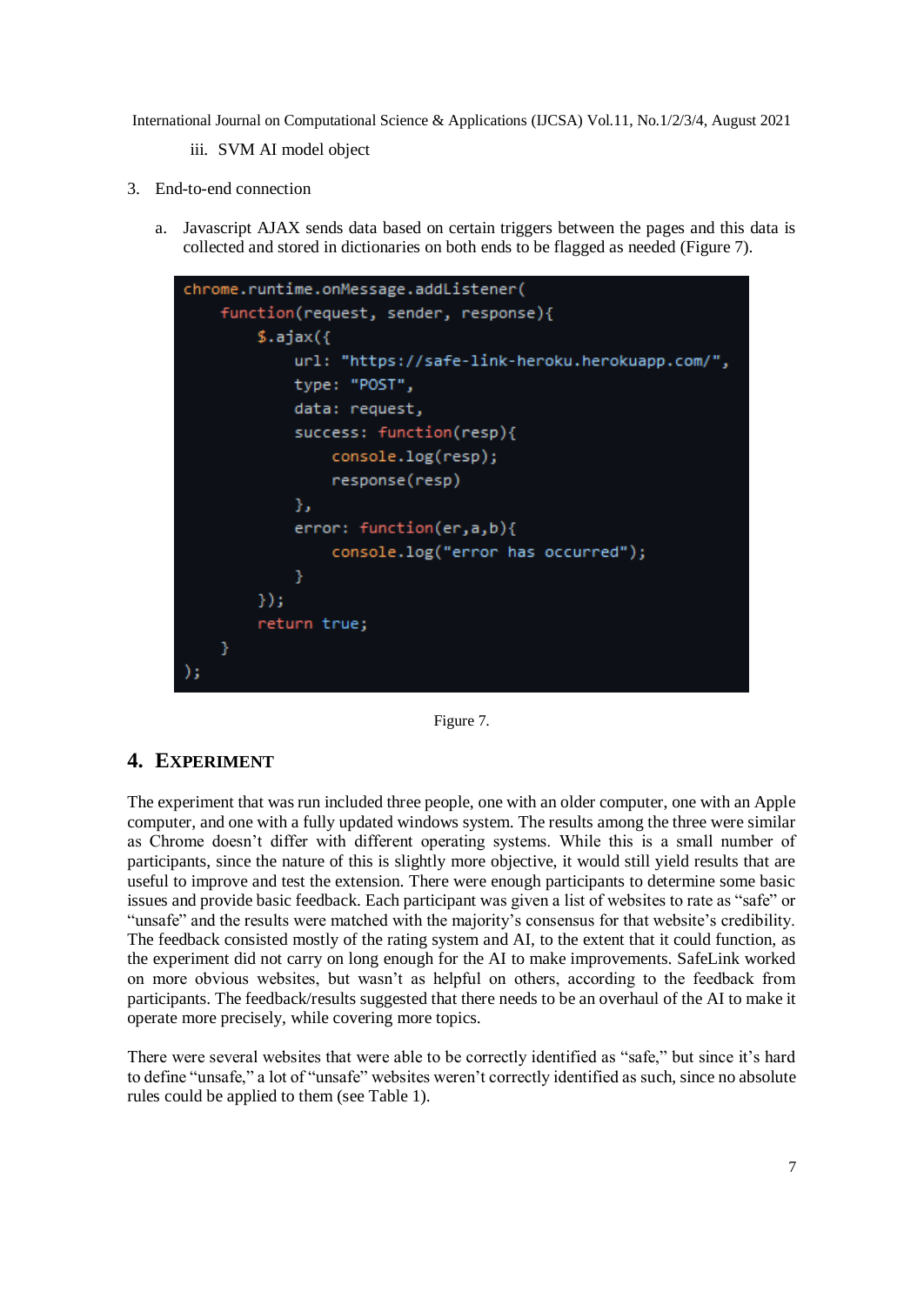- iii. SVM AI model object
- 3. End-to-end connection
	- a. Javascript AJAX sends data based on certain triggers between the pages and this data is collected and stored in dictionaries on both ends to be flagged as needed (Figure 7).



Figure 7.

## **4. EXPERIMENT**

The experiment that was run included three people, one with an older computer, one with an Apple computer, and one with a fully updated windows system. The results among the three were similar as Chrome doesn't differ with different operating systems. While this is a small number of participants, since the nature of this is slightly more objective, it would still yield results that are useful to improve and test the extension. There were enough participants to determine some basic issues and provide basic feedback. Each participant was given a list of websites to rate as "safe" or "unsafe" and the results were matched with the majority's consensus for that website's credibility. The feedback consisted mostly of the rating system and AI, to the extent that it could function, as the experiment did not carry on long enough for the AI to make improvements. SafeLink worked on more obvious websites, but wasn't as helpful on others, according to the feedback from participants. The feedback/results suggested that there needs to be an overhaul of the AI to make it operate more precisely, while covering more topics.

There were several websites that were able to be correctly identified as "safe," but since it's hard to define "unsafe," a lot of "unsafe" websites weren't correctly identified as such, since no absolute rules could be applied to them (see Table 1).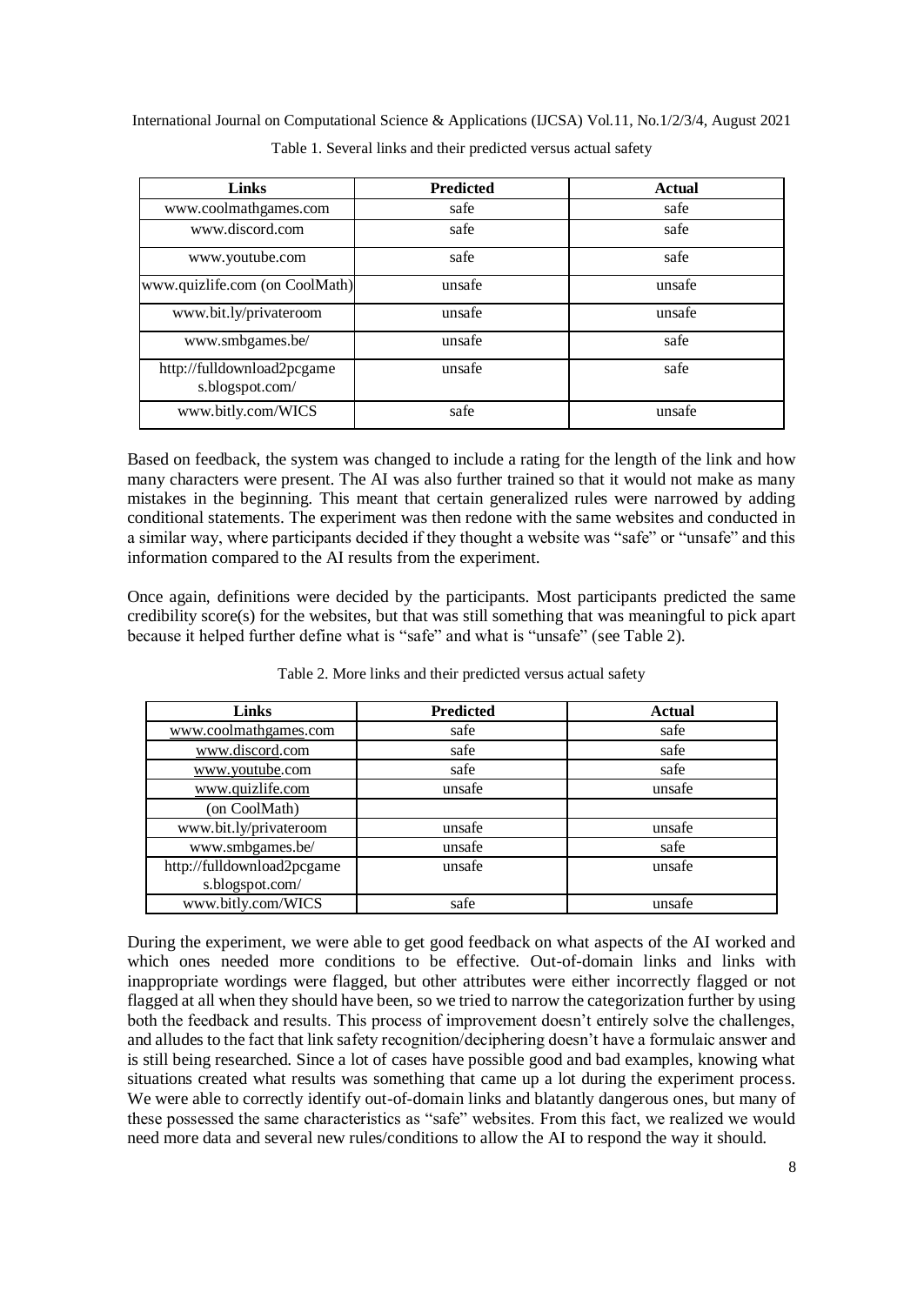| <b>Links</b>                                  | <b>Predicted</b> | <b>Actual</b> |
|-----------------------------------------------|------------------|---------------|
| www.coolmathgames.com                         | safe             | safe          |
| www.discord.com                               | safe             | safe          |
| www.youtube.com                               | safe             | safe          |
| www.quizlife.com (on CoolMath)                | unsafe           | unsafe        |
| www.bit.ly/privateroom                        | unsafe           | unsafe        |
| www.smbgames.be/                              | unsafe           | safe          |
| http://fulldownload2pcgame<br>s.blogspot.com/ | unsafe           | safe          |
| www.bitly.com/WICS                            | safe             | unsafe        |

International Journal on Computational Science & Applications (IJCSA) Vol.11, No.1/2/3/4, August 2021 Table 1. Several links and their predicted versus actual safety

Based on feedback, the system was changed to include a rating for the length of the link and how many characters were present. The AI was also further trained so that it would not make as many mistakes in the beginning. This meant that certain generalized rules were narrowed by adding conditional statements. The experiment was then redone with the same websites and conducted in a similar way, where participants decided if they thought a website was "safe" or "unsafe" and this information compared to the AI results from the experiment.

Once again, definitions were decided by the participants. Most participants predicted the same credibility score(s) for the websites, but that was still something that was meaningful to pick apart because it helped further define what is "safe" and what is "unsafe" (see Table 2).

| Links                      | <b>Predicted</b> | <b>Actual</b> |
|----------------------------|------------------|---------------|
| www.coolmathgames.com      | safe             | safe          |
| www.discord.com            | safe             | safe          |
| www.youtube.com            | safe             | safe          |
| www.quizlife.com           | unsafe           | unsafe        |
| (on CoolMath)              |                  |               |
| www.bit.ly/privateroom     | unsafe           | unsafe        |
| www.smbgames.be/           | unsafe           | safe          |
| http://fulldownload2pcgame | unsafe           | unsafe        |
| s.blogspot.com/            |                  |               |
| www.bitly.com/WICS         | safe             | unsafe        |

Table 2. More links and their predicted versus actual safety

During the experiment, we were able to get good feedback on what aspects of the AI worked and which ones needed more conditions to be effective. Out-of-domain links and links with inappropriate wordings were flagged, but other attributes were either incorrectly flagged or not flagged at all when they should have been, so we tried to narrow the categorization further by using both the feedback and results. This process of improvement doesn't entirely solve the challenges, and alludes to the fact that link safety recognition/deciphering doesn't have a formulaic answer and is still being researched. Since a lot of cases have possible good and bad examples, knowing what situations created what results was something that came up a lot during the experiment process. We were able to correctly identify out-of-domain links and blatantly dangerous ones, but many of these possessed the same characteristics as "safe" websites. From this fact, we realized we would need more data and several new rules/conditions to allow the AI to respond the way it should.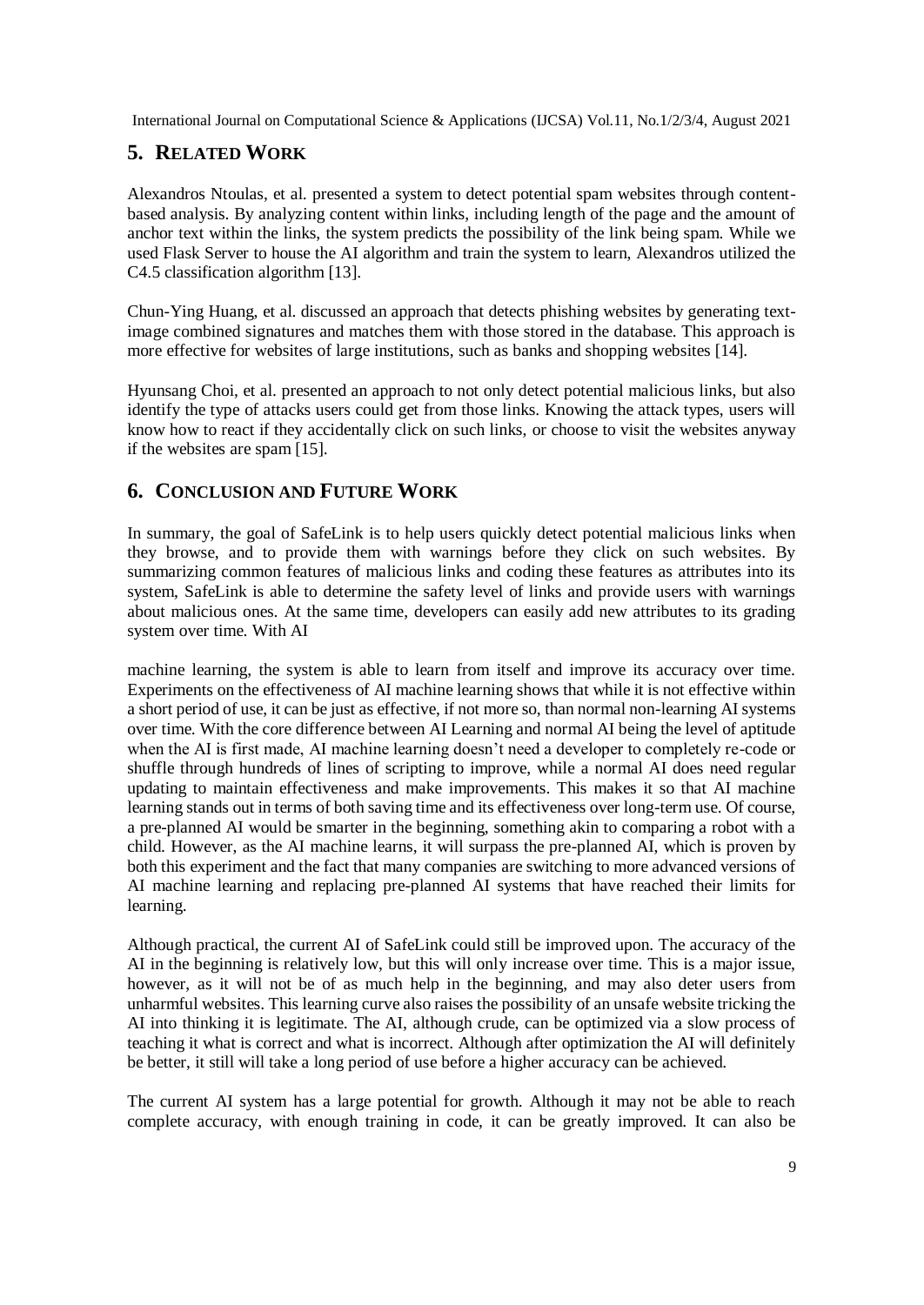## **5. RELATED WORK**

Alexandros Ntoulas, et al. presented a system to detect potential spam websites through contentbased analysis. By analyzing content within links, including length of the page and the amount of anchor text within the links, the system predicts the possibility of the link being spam. While we used Flask Server to house the AI algorithm and train the system to learn, Alexandros utilized the C4.5 classification algorithm [13].

Chun-Ying Huang, et al. discussed an approach that detects phishing websites by generating textimage combined signatures and matches them with those stored in the database. This approach is more effective for websites of large institutions, such as banks and shopping websites [14].

Hyunsang Choi, et al. presented an approach to not only detect potential malicious links, but also identify the type of attacks users could get from those links. Knowing the attack types, users will know how to react if they accidentally click on such links, or choose to visit the websites anyway if the websites are spam [15].

## **6. CONCLUSION AND FUTURE WORK**

In summary, the goal of SafeLink is to help users quickly detect potential malicious links when they browse, and to provide them with warnings before they click on such websites. By summarizing common features of malicious links and coding these features as attributes into its system, SafeLink is able to determine the safety level of links and provide users with warnings about malicious ones. At the same time, developers can easily add new attributes to its grading system over time. With AI

machine learning, the system is able to learn from itself and improve its accuracy over time. Experiments on the effectiveness of AI machine learning shows that while it is not effective within a short period of use, it can be just as effective, if not more so, than normal non-learning AI systems over time. With the core difference between AI Learning and normal AI being the level of aptitude when the AI is first made, AI machine learning doesn't need a developer to completely re-code or shuffle through hundreds of lines of scripting to improve, while a normal AI does need regular updating to maintain effectiveness and make improvements. This makes it so that AI machine learning stands out in terms of both saving time and its effectiveness over long-term use. Of course, a pre-planned AI would be smarter in the beginning, something akin to comparing a robot with a child. However, as the AI machine learns, it will surpass the pre-planned AI, which is proven by both this experiment and the fact that many companies are switching to more advanced versions of AI machine learning and replacing pre-planned AI systems that have reached their limits for learning.

Although practical, the current AI of SafeLink could still be improved upon. The accuracy of the AI in the beginning is relatively low, but this will only increase over time. This is a major issue, however, as it will not be of as much help in the beginning, and may also deter users from unharmful websites. This learning curve also raises the possibility of an unsafe website tricking the AI into thinking it is legitimate. The AI, although crude, can be optimized via a slow process of teaching it what is correct and what is incorrect. Although after optimization the AI will definitely be better, it still will take a long period of use before a higher accuracy can be achieved.

The current AI system has a large potential for growth. Although it may not be able to reach complete accuracy, with enough training in code, it can be greatly improved. It can also be